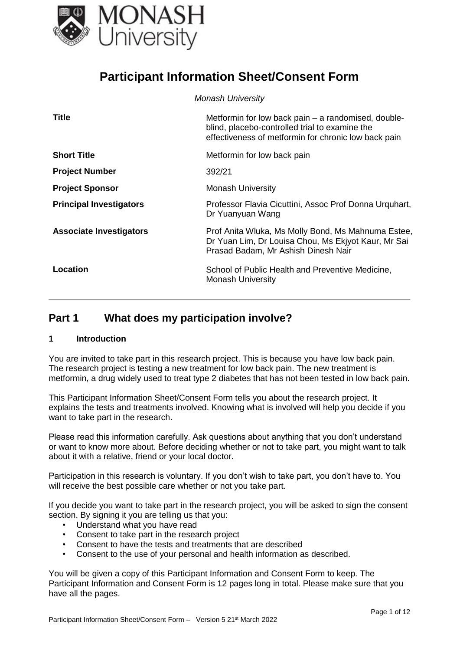

# **Participant Information Sheet/Consent Form**

|                                | <b>Monash University</b>                                                                                                                                      |
|--------------------------------|---------------------------------------------------------------------------------------------------------------------------------------------------------------|
| <b>Title</b>                   | Metformin for low back pain – a randomised, double-<br>blind, placebo-controlled trial to examine the<br>effectiveness of metformin for chronic low back pain |
| <b>Short Title</b>             | Metformin for low back pain                                                                                                                                   |
| <b>Project Number</b>          | 392/21                                                                                                                                                        |
| <b>Project Sponsor</b>         | <b>Monash University</b>                                                                                                                                      |
| <b>Principal Investigators</b> | Professor Flavia Cicuttini, Assoc Prof Donna Urquhart,<br>Dr Yuanyuan Wang                                                                                    |
| <b>Associate Investigators</b> | Prof Anita Wluka, Ms Molly Bond, Ms Mahnuma Estee,<br>Dr Yuan Lim, Dr Louisa Chou, Ms Ekjyot Kaur, Mr Sai<br>Prasad Badam, Mr Ashish Dinesh Nair              |
| Location                       | School of Public Health and Preventive Medicine,<br><b>Monash University</b>                                                                                  |

# **Part 1 What does my participation involve?**

#### **1 Introduction**

You are invited to take part in this research project. This is because you have low back pain. The research project is testing a new treatment for low back pain. The new treatment is metformin, a drug widely used to treat type 2 diabetes that has not been tested in low back pain.

This Participant Information Sheet/Consent Form tells you about the research project. It explains the tests and treatments involved. Knowing what is involved will help you decide if you want to take part in the research.

Please read this information carefully. Ask questions about anything that you don't understand or want to know more about. Before deciding whether or not to take part, you might want to talk about it with a relative, friend or your local doctor.

Participation in this research is voluntary. If you don't wish to take part, you don't have to. You will receive the best possible care whether or not you take part.

If you decide you want to take part in the research project, you will be asked to sign the consent section. By signing it you are telling us that you:

- Understand what you have read
- Consent to take part in the research project
- Consent to have the tests and treatments that are described
- Consent to the use of your personal and health information as described.

You will be given a copy of this Participant Information and Consent Form to keep. The Participant Information and Consent Form is 12 pages long in total. Please make sure that you have all the pages.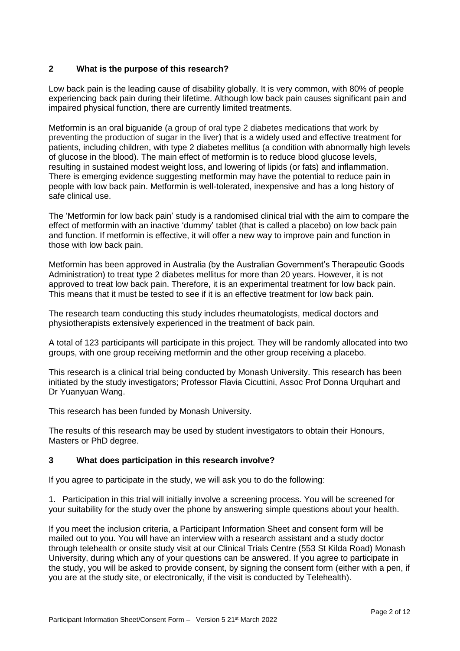## **2 What is the purpose of this research?**

Low back pain is the leading cause of disability globally. It is very common, with 80% of people experiencing back pain during their lifetime. Although low back pain causes significant pain and impaired physical function, there are currently limited treatments.

Metformin is an oral biguanide (a group of oral type 2 diabetes medications that work by preventing the production of sugar in the liver) that is a widely used and effective treatment for patients, including children, with type 2 diabetes mellitus (a condition with abnormally high levels of glucose in the blood). The main effect of metformin is to reduce blood glucose levels, resulting in sustained modest weight loss, and lowering of lipids (or fats) and inflammation. There is emerging evidence suggesting metformin may have the potential to reduce pain in people with low back pain. Metformin is well-tolerated, inexpensive and has a long history of safe clinical use.

The 'Metformin for low back pain' study is a randomised clinical trial with the aim to compare the effect of metformin with an inactive 'dummy' tablet (that is called a placebo) on low back pain and function. If metformin is effective, it will offer a new way to improve pain and function in those with low back pain.

Metformin has been approved in Australia (by the Australian Government's Therapeutic Goods Administration) to treat type 2 diabetes mellitus for more than 20 years. However, it is not approved to treat low back pain. Therefore, it is an experimental treatment for low back pain. This means that it must be tested to see if it is an effective treatment for low back pain.

The research team conducting this study includes rheumatologists, medical doctors and physiotherapists extensively experienced in the treatment of back pain.

A total of 123 participants will participate in this project. They will be randomly allocated into two groups, with one group receiving metformin and the other group receiving a placebo.

This research is a clinical trial being conducted by Monash University. This research has been initiated by the study investigators; Professor Flavia Cicuttini, Assoc Prof Donna Urquhart and Dr Yuanyuan Wang.

This research has been funded by Monash University.

The results of this research may be used by student investigators to obtain their Honours, Masters or PhD degree.

## **3 What does participation in this research involve?**

If you agree to participate in the study, we will ask you to do the following:

1. Participation in this trial will initially involve a screening process. You will be screened for your suitability for the study over the phone by answering simple questions about your health.

If you meet the inclusion criteria, a Participant Information Sheet and consent form will be mailed out to you. You will have an interview with a research assistant and a study doctor through telehealth or onsite study visit at our Clinical Trials Centre (553 St Kilda Road) Monash University, during which any of your questions can be answered. If you agree to participate in the study, you will be asked to provide consent, by signing the consent form (either with a pen, if you are at the study site, or electronically, if the visit is conducted by Telehealth).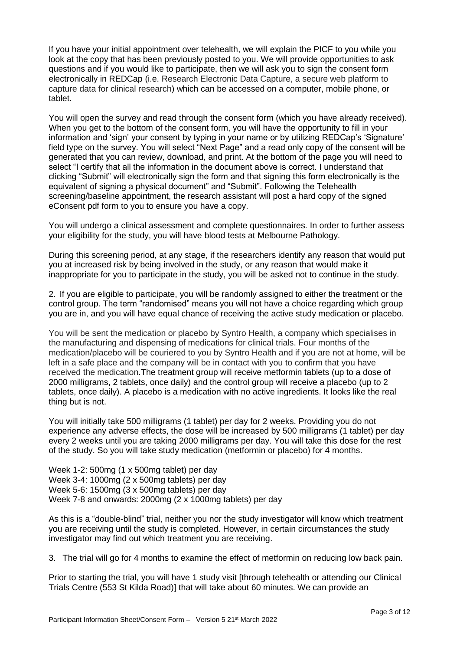If you have your initial appointment over telehealth, we will explain the PICF to you while you look at the copy that has been previously posted to you. We will provide opportunities to ask questions and if you would like to participate, then we will ask you to sign the consent form electronically in REDCap (i.e. Research Electronic Data Capture, a secure web platform to capture data for clinical research) which can be accessed on a computer, mobile phone, or tablet.

You will open the survey and read through the consent form (which you have already received). When you get to the bottom of the consent form, you will have the opportunity to fill in your information and 'sign' your consent by typing in your name or by utilizing REDCap's 'Signature' field type on the survey. You will select "Next Page" and a read only copy of the consent will be generated that you can review, download, and print. At the bottom of the page you will need to select "I certify that all the information in the document above is correct. I understand that clicking "Submit" will electronically sign the form and that signing this form electronically is the equivalent of signing a physical document" and "Submit". Following the Telehealth screening/baseline appointment, the research assistant will post a hard copy of the signed eConsent pdf form to you to ensure you have a copy.

You will undergo a clinical assessment and complete questionnaires. In order to further assess your eligibility for the study, you will have blood tests at Melbourne Pathology.

During this screening period, at any stage, if the researchers identify any reason that would put you at increased risk by being involved in the study, or any reason that would make it inappropriate for you to participate in the study, you will be asked not to continue in the study.

2. If you are eligible to participate, you will be randomly assigned to either the treatment or the control group. The term "randomised" means you will not have a choice regarding which group you are in, and you will have equal chance of receiving the active study medication or placebo.

You will be sent the medication or placebo by Syntro Health, a company which specialises in the manufacturing and dispensing of medications for clinical trials. Four months of the medication/placebo will be couriered to you by Syntro Health and if you are not at home, will be left in a safe place and the company will be in contact with you to confirm that you have received the medication.The treatment group will receive metformin tablets (up to a dose of 2000 milligrams, 2 tablets, once daily) and the control group will receive a placebo (up to 2 tablets, once daily). A placebo is a medication with no active ingredients. It looks like the real thing but is not.

You will initially take 500 milligrams (1 tablet) per day for 2 weeks. Providing you do not experience any adverse effects, the dose will be increased by 500 milligrams (1 tablet) per day every 2 weeks until you are taking 2000 milligrams per day. You will take this dose for the rest of the study. So you will take study medication (metformin or placebo) for 4 months.

Week 1-2: 500mg (1 x 500mg tablet) per day Week 3-4: 1000mg (2 x 500mg tablets) per day Week 5-6: 1500mg (3 x 500mg tablets) per day Week 7-8 and onwards: 2000mg (2 x 1000mg tablets) per day

As this is a "double-blind" trial, neither you nor the study investigator will know which treatment you are receiving until the study is completed. However, in certain circumstances the study investigator may find out which treatment you are receiving.

3. The trial will go for 4 months to examine the effect of metformin on reducing low back pain.

Prior to starting the trial, you will have 1 study visit [through telehealth or attending our Clinical Trials Centre (553 St Kilda Road)] that will take about 60 minutes. We can provide an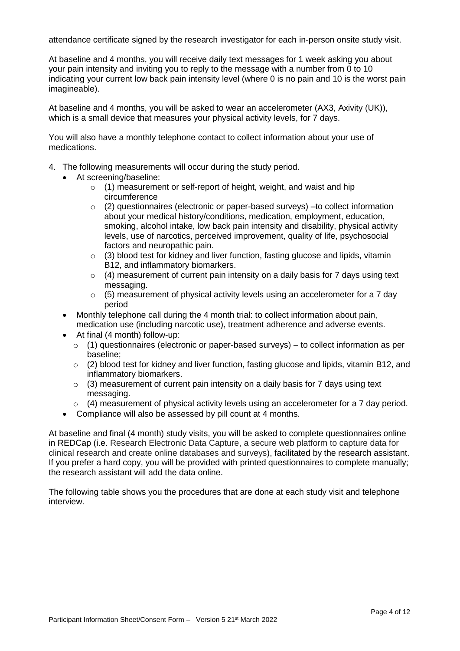attendance certificate signed by the research investigator for each in-person onsite study visit.

At baseline and 4 months, you will receive daily text messages for 1 week asking you about your pain intensity and inviting you to reply to the message with a number from 0 to 10 indicating your current low back pain intensity level (where 0 is no pain and 10 is the worst pain imagineable).

At baseline and 4 months, you will be asked to wear an accelerometer (AX3, Axivity (UK)), which is a small device that measures your physical activity levels, for 7 days.

You will also have a monthly telephone contact to collect information about your use of medications.

- 4. The following measurements will occur during the study period.
	- At screening/baseline:
		- o (1) measurement or self-report of height, weight, and waist and hip circumference
		- $\circ$  (2) questionnaires (electronic or paper-based surveys) –to collect information about your medical history/conditions, medication, employment, education, smoking, alcohol intake, low back pain intensity and disability, physical activity levels, use of narcotics, perceived improvement, quality of life, psychosocial factors and neuropathic pain.
		- $\circ$  (3) blood test for kidney and liver function, fasting glucose and lipids, vitamin B12, and inflammatory biomarkers.
		- $\circ$  (4) measurement of current pain intensity on a daily basis for 7 days using text messaging.
		- $\circ$  (5) measurement of physical activity levels using an accelerometer for a 7 day period
	- Monthly telephone call during the 4 month trial: to collect information about pain, medication use (including narcotic use), treatment adherence and adverse events.
	- At final (4 month) follow-up:
		- $\circ$  (1) questionnaires (electronic or paper-based surveys) to collect information as per baseline;
		- $\circ$  (2) blood test for kidney and liver function, fasting glucose and lipids, vitamin B12, and inflammatory biomarkers.
		- $\circ$  (3) measurement of current pain intensity on a daily basis for 7 days using text messaging.
		- $\circ$  (4) measurement of physical activity levels using an accelerometer for a 7 day period.
	- Compliance will also be assessed by pill count at 4 months.

At baseline and final (4 month) study visits, you will be asked to complete questionnaires online in REDCap (i.e. Research Electronic Data Capture, a secure web platform to capture data for clinical research and create online databases and surveys), facilitated by the research assistant. If you prefer a hard copy, you will be provided with printed questionnaires to complete manually; the research assistant will add the data online.

The following table shows you the procedures that are done at each study visit and telephone interview.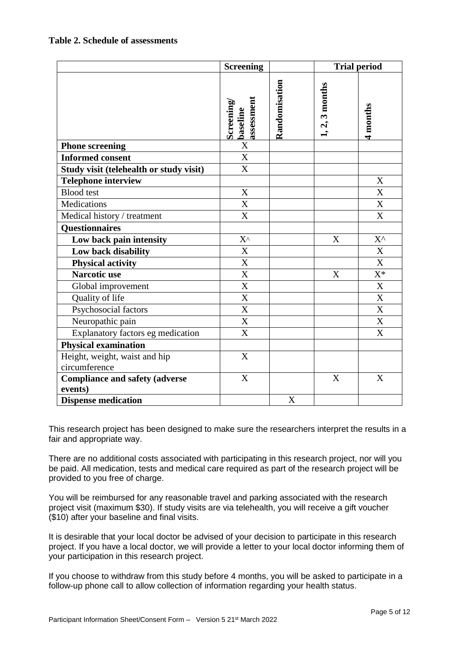|                                         | <b>Screening</b>                    |               |                  | <b>Trial period</b>       |
|-----------------------------------------|-------------------------------------|---------------|------------------|---------------------------|
|                                         | assessment<br>Screening<br>baseline | Randomisation | $1, 2, 3$ months | 4 months                  |
| <b>Phone screening</b>                  | X                                   |               |                  |                           |
| <b>Informed consent</b>                 | $\boldsymbol{\mathrm{X}}$           |               |                  |                           |
| Study visit (telehealth or study visit) | $\mathbf X$                         |               |                  |                           |
| <b>Telephone interview</b>              |                                     |               |                  | $\boldsymbol{\mathrm{X}}$ |
| <b>Blood</b> test                       | X                                   |               |                  | X                         |
| Medications                             | X                                   |               |                  | X                         |
| Medical history / treatment             | X                                   |               |                  | X                         |
| <b>Questionnaires</b>                   |                                     |               |                  |                           |
| Low back pain intensity                 | $X^{\wedge}$                        |               | X                | $X^{\wedge}$              |
| Low back disability                     | X                                   |               |                  | X                         |
| <b>Physical activity</b>                | $\overline{\text{X}}$               |               |                  | $\overline{\mathbf{X}}$   |
| <b>Narcotic use</b>                     | X                                   |               | X                | $X^*$                     |
| Global improvement                      | X                                   |               |                  | $\boldsymbol{\mathrm{X}}$ |
| Quality of life                         | $\mathbf X$                         |               |                  | $\mathbf X$               |
| Psychosocial factors                    | $\mathbf X$                         |               |                  | $\bf X$                   |
| Neuropathic pain                        | $\overline{\text{X}}$               |               |                  | X                         |
| Explanatory factors eg medication       | X                                   |               |                  | X                         |
| <b>Physical examination</b>             |                                     |               |                  |                           |
| Height, weight, waist and hip           | $\boldsymbol{\mathrm{X}}$           |               |                  |                           |
| circumference                           |                                     |               |                  |                           |
| <b>Compliance and safety (adverse</b>   | X                                   |               | X                | X                         |
| events)                                 |                                     |               |                  |                           |
| <b>Dispense medication</b>              |                                     | X             |                  |                           |

This research project has been designed to make sure the researchers interpret the results in a fair and appropriate way.

There are no additional costs associated with participating in this research project, nor will you be paid. All medication, tests and medical care required as part of the research project will be provided to you free of charge.

You will be reimbursed for any reasonable travel and parking associated with the research project visit (maximum \$30). If study visits are via telehealth, you will receive a gift voucher (\$10) after your baseline and final visits.

It is desirable that your local doctor be advised of your decision to participate in this research project. If you have a local doctor, we will provide a letter to your local doctor informing them of your participation in this research project.

If you choose to withdraw from this study before 4 months, you will be asked to participate in a follow-up phone call to allow collection of information regarding your health status.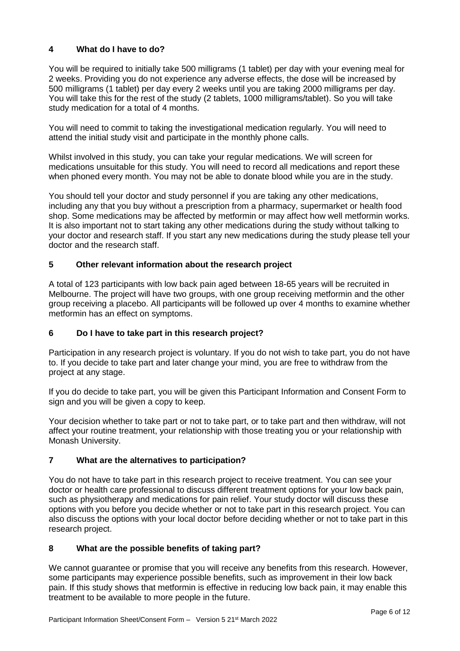# **4 What do I have to do?**

You will be required to initially take 500 milligrams (1 tablet) per day with your evening meal for 2 weeks. Providing you do not experience any adverse effects, the dose will be increased by 500 milligrams (1 tablet) per day every 2 weeks until you are taking 2000 milligrams per day. You will take this for the rest of the study (2 tablets, 1000 milligrams/tablet). So you will take study medication for a total of 4 months.

You will need to commit to taking the investigational medication regularly. You will need to attend the initial study visit and participate in the monthly phone calls.

Whilst involved in this study, you can take your regular medications. We will screen for medications unsuitable for this study. You will need to record all medications and report these when phoned every month. You may not be able to donate blood while you are in the study.

You should tell your doctor and study personnel if you are taking any other medications, including any that you buy without a prescription from a pharmacy, supermarket or health food shop. Some medications may be affected by metformin or may affect how well metformin works. It is also important not to start taking any other medications during the study without talking to your doctor and research staff. If you start any new medications during the study please tell your doctor and the research staff.

# **5 Other relevant information about the research project**

A total of 123 participants with low back pain aged between 18-65 years will be recruited in Melbourne. The project will have two groups, with one group receiving metformin and the other group receiving a placebo. All participants will be followed up over 4 months to examine whether metformin has an effect on symptoms.

## **6 Do I have to take part in this research project?**

Participation in any research project is voluntary. If you do not wish to take part, you do not have to. If you decide to take part and later change your mind, you are free to withdraw from the project at any stage.

If you do decide to take part, you will be given this Participant Information and Consent Form to sign and you will be given a copy to keep.

Your decision whether to take part or not to take part, or to take part and then withdraw, will not affect your routine treatment, your relationship with those treating you or your relationship with Monash University.

## **7 What are the alternatives to participation?**

You do not have to take part in this research project to receive treatment. You can see your doctor or health care professional to discuss different treatment options for your low back pain, such as physiotherapy and medications for pain relief. Your study doctor will discuss these options with you before you decide whether or not to take part in this research project. You can also discuss the options with your local doctor before deciding whether or not to take part in this research project.

## **8 What are the possible benefits of taking part?**

We cannot quarantee or promise that you will receive any benefits from this research. However, some participants may experience possible benefits, such as improvement in their low back pain. If this study shows that metformin is effective in reducing low back pain, it may enable this treatment to be available to more people in the future.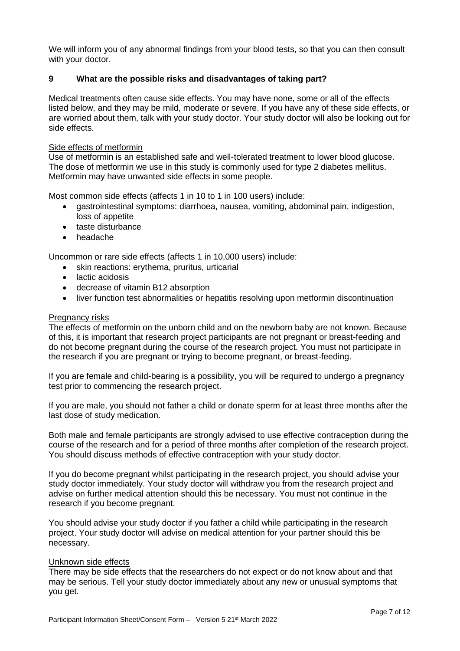We will inform you of any abnormal findings from your blood tests, so that you can then consult with your doctor.

## **9 What are the possible risks and disadvantages of taking part?**

Medical treatments often cause side effects. You may have none, some or all of the effects listed below, and they may be mild, moderate or severe. If you have any of these side effects, or are worried about them, talk with your study doctor. Your study doctor will also be looking out for side effects.

#### Side effects of metformin

Use of metformin is an established safe and well-tolerated treatment to lower blood glucose. The dose of metformin we use in this study is commonly used for type 2 diabetes mellitus. Metformin may have unwanted side effects in some people.

Most common side effects (affects 1 in 10 to 1 in 100 users) include:

- gastrointestinal symptoms: diarrhoea, nausea, vomiting, abdominal pain, indigestion, loss of appetite
- taste disturbance
- headache

Uncommon or rare side effects (affects 1 in 10,000 users) include:

- skin reactions: erythema, pruritus, urticarial
- lactic acidosis
- decrease of vitamin B12 absorption
- liver function test abnormalities or hepatitis resolving upon metformin discontinuation

#### Pregnancy risks

The effects of metformin on the unborn child and on the newborn baby are not known. Because of this, it is important that research project participants are not pregnant or breast-feeding and do not become pregnant during the course of the research project. You must not participate in the research if you are pregnant or trying to become pregnant, or breast-feeding.

If you are female and child-bearing is a possibility, you will be required to undergo a pregnancy test prior to commencing the research project.

If you are male, you should not father a child or donate sperm for at least three months after the last dose of study medication.

Both male and female participants are strongly advised to use effective contraception during the course of the research and for a period of three months after completion of the research project. You should discuss methods of effective contraception with your study doctor.

If you do become pregnant whilst participating in the research project, you should advise your study doctor immediately. Your study doctor will withdraw you from the research project and advise on further medical attention should this be necessary. You must not continue in the research if you become pregnant.

You should advise your study doctor if you father a child while participating in the research project. Your study doctor will advise on medical attention for your partner should this be necessary.

#### Unknown side effects

There may be side effects that the researchers do not expect or do not know about and that may be serious. Tell your study doctor immediately about any new or unusual symptoms that you get.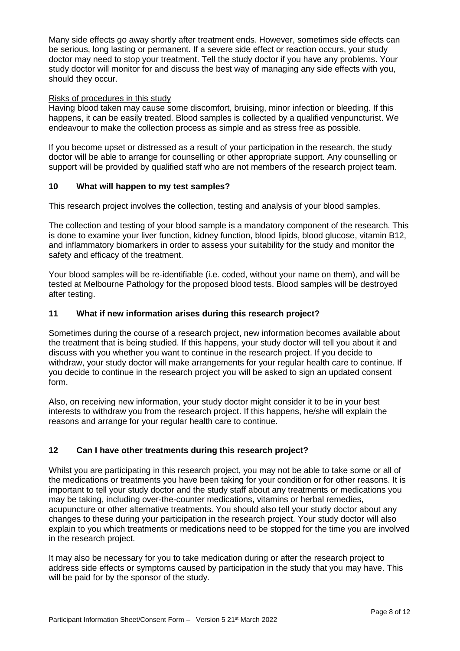Many side effects go away shortly after treatment ends. However, sometimes side effects can be serious, long lasting or permanent. If a severe side effect or reaction occurs, your study doctor may need to stop your treatment. Tell the study doctor if you have any problems. Your study doctor will monitor for and discuss the best way of managing any side effects with you, should they occur.

#### Risks of procedures in this study

Having blood taken may cause some discomfort, bruising, minor infection or bleeding. If this happens, it can be easily treated. Blood samples is collected by a qualified venpuncturist. We endeavour to make the collection process as simple and as stress free as possible.

If you become upset or distressed as a result of your participation in the research, the study doctor will be able to arrange for counselling or other appropriate support. Any counselling or support will be provided by qualified staff who are not members of the research project team.

## **10 What will happen to my test samples?**

This research project involves the collection, testing and analysis of your blood samples.

The collection and testing of your blood sample is a mandatory component of the research. This is done to examine your liver function, kidney function, blood lipids, blood glucose, vitamin B12, and inflammatory biomarkers in order to assess your suitability for the study and monitor the safety and efficacy of the treatment.

Your blood samples will be re-identifiable (i.e. coded, without your name on them), and will be tested at Melbourne Pathology for the proposed blood tests. Blood samples will be destroyed after testing.

#### **11 What if new information arises during this research project?**

Sometimes during the course of a research project, new information becomes available about the treatment that is being studied. If this happens, your study doctor will tell you about it and discuss with you whether you want to continue in the research project. If you decide to withdraw, your study doctor will make arrangements for your regular health care to continue. If you decide to continue in the research project you will be asked to sign an updated consent form.

Also, on receiving new information, your study doctor might consider it to be in your best interests to withdraw you from the research project. If this happens, he/she will explain the reasons and arrange for your regular health care to continue.

## **12 Can I have other treatments during this research project?**

Whilst you are participating in this research project, you may not be able to take some or all of the medications or treatments you have been taking for your condition or for other reasons. It is important to tell your study doctor and the study staff about any treatments or medications you may be taking, including over-the-counter medications, vitamins or herbal remedies, acupuncture or other alternative treatments. You should also tell your study doctor about any changes to these during your participation in the research project. Your study doctor will also explain to you which treatments or medications need to be stopped for the time you are involved in the research project.

It may also be necessary for you to take medication during or after the research project to address side effects or symptoms caused by participation in the study that you may have. This will be paid for by the sponsor of the study.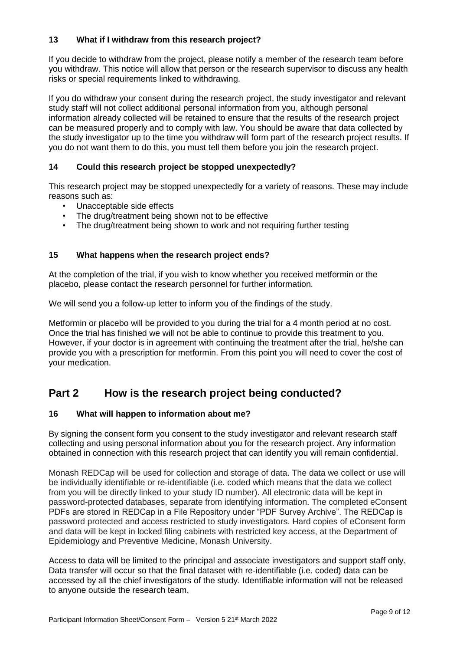# **13 What if I withdraw from this research project?**

If you decide to withdraw from the project, please notify a member of the research team before you withdraw. This notice will allow that person or the research supervisor to discuss any health risks or special requirements linked to withdrawing.

If you do withdraw your consent during the research project, the study investigator and relevant study staff will not collect additional personal information from you, although personal information already collected will be retained to ensure that the results of the research project can be measured properly and to comply with law. You should be aware that data collected by the study investigator up to the time you withdraw will form part of the research project results. If you do not want them to do this, you must tell them before you join the research project.

## **14 Could this research project be stopped unexpectedly?**

This research project may be stopped unexpectedly for a variety of reasons. These may include reasons such as:

- Unacceptable side effects
- The drug/treatment being shown not to be effective
- The drug/treatment being shown to work and not requiring further testing

#### **15 What happens when the research project ends?**

At the completion of the trial, if you wish to know whether you received metformin or the placebo, please contact the research personnel for further information.

We will send you a follow-up letter to inform you of the findings of the study.

Metformin or placebo will be provided to you during the trial for a 4 month period at no cost. Once the trial has finished we will not be able to continue to provide this treatment to you. However, if your doctor is in agreement with continuing the treatment after the trial, he/she can provide you with a prescription for metformin. From this point you will need to cover the cost of your medication.

# **Part 2 How is the research project being conducted?**

#### **16 What will happen to information about me?**

By signing the consent form you consent to the study investigator and relevant research staff collecting and using personal information about you for the research project. Any information obtained in connection with this research project that can identify you will remain confidential.

Monash REDCap will be used for collection and storage of data. The data we collect or use will be individually identifiable or re-identifiable (i.e. coded which means that the data we collect from you will be directly linked to your study ID number). All electronic data will be kept in password-protected databases, separate from identifying information. The completed eConsent PDFs are stored in REDCap in a File Repository under "PDF Survey Archive". The REDCap is password protected and access restricted to study investigators. Hard copies of eConsent form and data will be kept in locked filing cabinets with restricted key access, at the Department of Epidemiology and Preventive Medicine, Monash University.

Access to data will be limited to the principal and associate investigators and support staff only. Data transfer will occur so that the final dataset with re-identifiable (i.e. coded) data can be accessed by all the chief investigators of the study. Identifiable information will not be released to anyone outside the research team.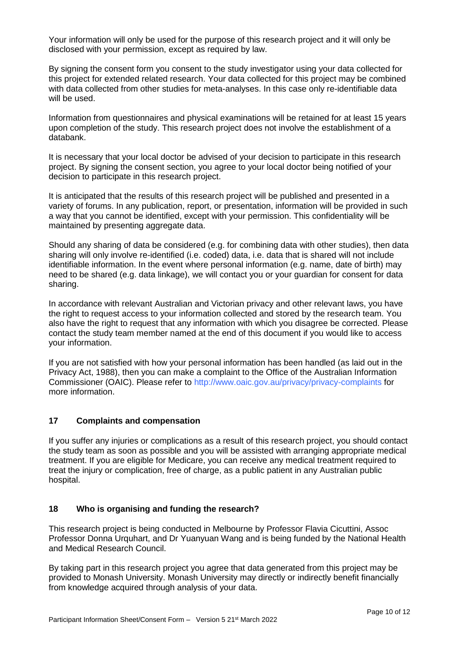Your information will only be used for the purpose of this research project and it will only be disclosed with your permission, except as required by law.

By signing the consent form you consent to the study investigator using your data collected for this project for extended related research. Your data collected for this project may be combined with data collected from other studies for meta-analyses. In this case only re-identifiable data will be used.

Information from questionnaires and physical examinations will be retained for at least 15 years upon completion of the study. This research project does not involve the establishment of a databank.

It is necessary that your local doctor be advised of your decision to participate in this research project. By signing the consent section, you agree to your local doctor being notified of your decision to participate in this research project.

It is anticipated that the results of this research project will be published and presented in a variety of forums. In any publication, report, or presentation, information will be provided in such a way that you cannot be identified, except with your permission. This confidentiality will be maintained by presenting aggregate data.

Should any sharing of data be considered (e.g. for combining data with other studies), then data sharing will only involve re-identified (i.e. coded) data, i.e. data that is shared will not include identifiable information. In the event where personal information (e.g. name, date of birth) may need to be shared (e.g. data linkage), we will contact you or your guardian for consent for data sharing.

In accordance with relevant Australian and Victorian privacy and other relevant laws, you have the right to request access to your information collected and stored by the research team. You also have the right to request that any information with which you disagree be corrected. Please contact the study team member named at the end of this document if you would like to access your information.

If you are not satisfied with how your personal information has been handled (as laid out in the Privacy Act, 1988), then you can make a complaint to the Office of the Australian Information Commissioner (OAIC). Please refer to<http://www.oaic.gov.au/privacy/privacy-complaints> for more information.

# **17 Complaints and compensation**

If you suffer any injuries or complications as a result of this research project, you should contact the study team as soon as possible and you will be assisted with arranging appropriate medical treatment. If you are eligible for Medicare, you can receive any medical treatment required to treat the injury or complication, free of charge, as a public patient in any Australian public hospital.

#### **18 Who is organising and funding the research?**

This research project is being conducted in Melbourne by Professor Flavia Cicuttini, Assoc Professor Donna Urquhart, and Dr Yuanyuan Wang and is being funded by the National Health and Medical Research Council.

By taking part in this research project you agree that data generated from this project may be provided to Monash University. Monash University may directly or indirectly benefit financially from knowledge acquired through analysis of your data.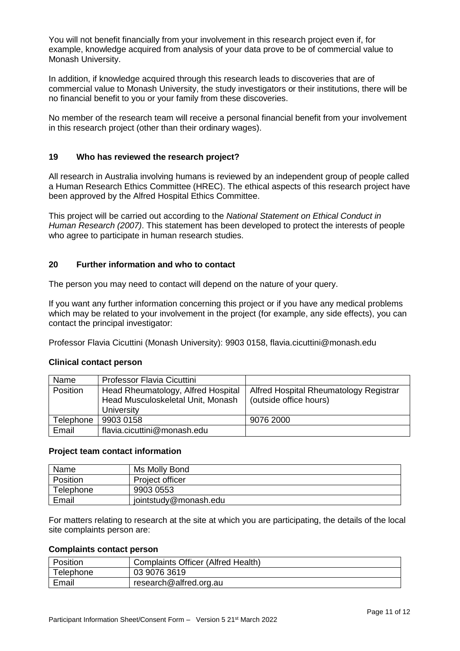You will not benefit financially from your involvement in this research project even if, for example, knowledge acquired from analysis of your data prove to be of commercial value to Monash University.

In addition, if knowledge acquired through this research leads to discoveries that are of commercial value to Monash University, the study investigators or their institutions, there will be no financial benefit to you or your family from these discoveries.

No member of the research team will receive a personal financial benefit from your involvement in this research project (other than their ordinary wages).

## **19 Who has reviewed the research project?**

All research in Australia involving humans is reviewed by an independent group of people called a Human Research Ethics Committee (HREC). The ethical aspects of this research project have been approved by the Alfred Hospital Ethics Committee.

This project will be carried out according to the *National Statement on Ethical Conduct in Human Research (2007)*. This statement has been developed to protect the interests of people who agree to participate in human research studies.

## **20 Further information and who to contact**

The person you may need to contact will depend on the nature of your query.

If you want any further information concerning this project or if you have any medical problems which may be related to your involvement in the project (for example, any side effects), you can contact the principal investigator:

Professor Flavia Cicuttini (Monash University): 9903 0158, [flavia.cicuttini@monash.edu](mailto:flavia.cicuttini@monash.edu)

## **Clinical contact person**

| Name            | <b>Professor Flavia Cicuttini</b>                                                     |                                                                  |
|-----------------|---------------------------------------------------------------------------------------|------------------------------------------------------------------|
| <b>Position</b> | Head Rheumatology, Alfred Hospital<br>Head Musculoskeletal Unit, Monash<br>University | Alfred Hospital Rheumatology Registrar<br>(outside office hours) |
| Telephone       | 9903 0158                                                                             | 9076 2000                                                        |
| Email           | flavia.cicuttini@monash.edu                                                           |                                                                  |

#### **Project team contact information**

| Name      | Ms Molly Bond         |
|-----------|-----------------------|
| Position  | Project officer       |
| Telephone | 9903 0553             |
| Email     | jointstudy@monash.edu |

For matters relating to research at the site at which you are participating, the details of the local site complaints person are:

#### **Complaints contact person**

| Position  | ' Complaints Officer (Alfred Health) |
|-----------|--------------------------------------|
| Telephone | 03 9076 3619                         |
| Email     | research@alfred.org.au               |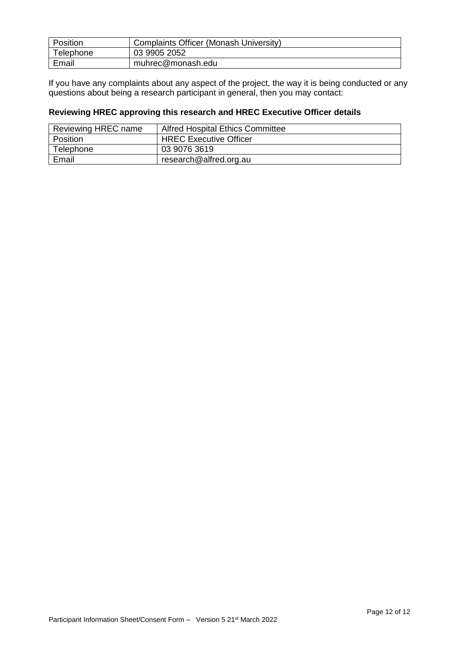| Position  | Complaints Officer (Monash University) |
|-----------|----------------------------------------|
| Telephone | 03 9905 2052                           |
| Email     | muhrec@monash.edu                      |

If you have any complaints about any aspect of the project, the way it is being conducted or any questions about being a research participant in general, then you may contact:

# **Reviewing HREC approving this research and HREC Executive Officer details**

| Reviewing HREC name | <b>Alfred Hospital Ethics Committee</b> |
|---------------------|-----------------------------------------|
| Position            | <b>HREC Executive Officer</b>           |
| Telephone           | 03 9076 3619                            |
| Email               | research@alfred.org.au                  |